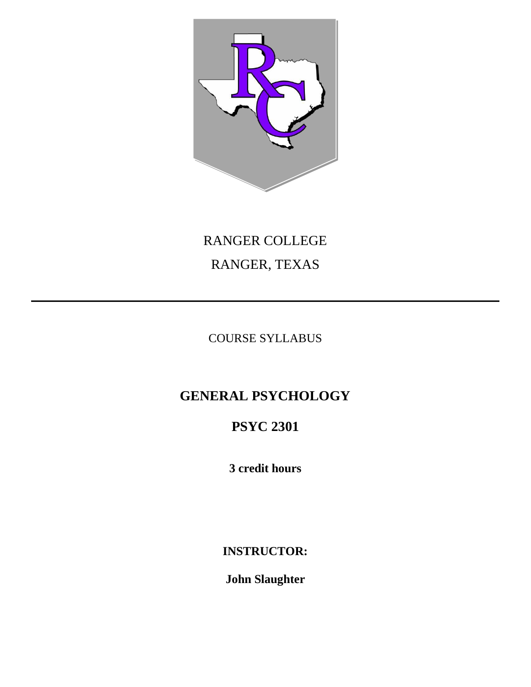

# RANGER COLLEGE RANGER, TEXAS

COURSE SYLLABUS

# **GENERAL PSYCHOLOGY**

# **PSYC 2301**

**3 credit hours** 

**INSTRUCTOR:** 

**John Slaughter**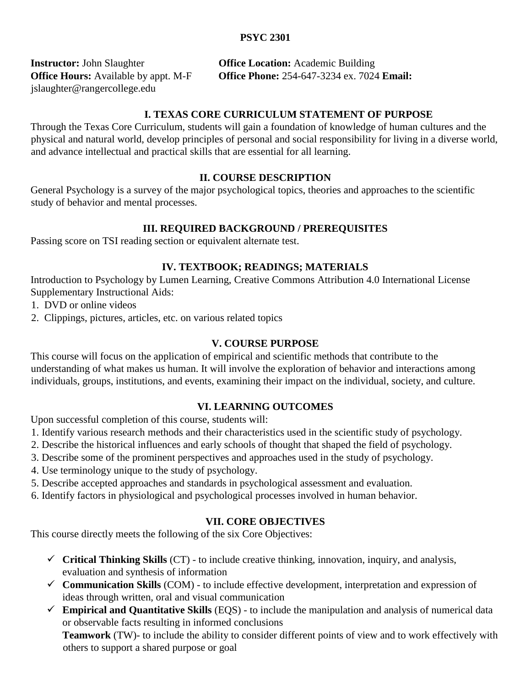## **PSYC 2301**

jslaughter@rangercollege.edu

**Instructor:** John Slaughter **Office Location:** Academic Building **Office Hours:** Available by appt. M-F **Office Phone:** 254-647-3234 ex. 7024 **Email:**

### **I. TEXAS CORE CURRICULUM STATEMENT OF PURPOSE**

Through the Texas Core Curriculum, students will gain a foundation of knowledge of human cultures and the physical and natural world, develop principles of personal and social responsibility for living in a diverse world, and advance intellectual and practical skills that are essential for all learning.

#### **II. COURSE DESCRIPTION**

General Psychology is a survey of the major psychological topics, theories and approaches to the scientific study of behavior and mental processes.

#### **III. REQUIRED BACKGROUND / PREREQUISITES**

Passing score on TSI reading section or equivalent alternate test.

#### **IV. TEXTBOOK; READINGS; MATERIALS**

Introduction to Psychology by Lumen Learning, Creative Commons Attribution 4.0 International License Supplementary Instructional Aids:

1. DVD or online videos

2. Clippings, pictures, articles, etc. on various related topics

#### **V. COURSE PURPOSE**

This course will focus on the application of empirical and scientific methods that contribute to the understanding of what makes us human. It will involve the exploration of behavior and interactions among individuals, groups, institutions, and events, examining their impact on the individual, society, and culture.

#### **VI. LEARNING OUTCOMES**

Upon successful completion of this course, students will:

- 1. Identify various research methods and their characteristics used in the scientific study of psychology.
- 2. Describe the historical influences and early schools of thought that shaped the field of psychology.
- 3. Describe some of the prominent perspectives and approaches used in the study of psychology.
- 4. Use terminology unique to the study of psychology.
- 5. Describe accepted approaches and standards in psychological assessment and evaluation.
- 6. Identify factors in physiological and psychological processes involved in human behavior.

#### **VII. CORE OBJECTIVES**

This course directly meets the following of the six Core Objectives:

- $\checkmark$  Critical Thinking Skills (CT) to include creative thinking, innovation, inquiry, and analysis, evaluation and synthesis of information
- **Communication Skills** (COM) to include effective development, interpretation and expression of ideas through written, oral and visual communication
- **Empirical and Quantitative Skills** (EQS) to include the manipulation and analysis of numerical data or observable facts resulting in informed conclusions

**Teamwork** (TW)- to include the ability to consider different points of view and to work effectively with others to support a shared purpose or goal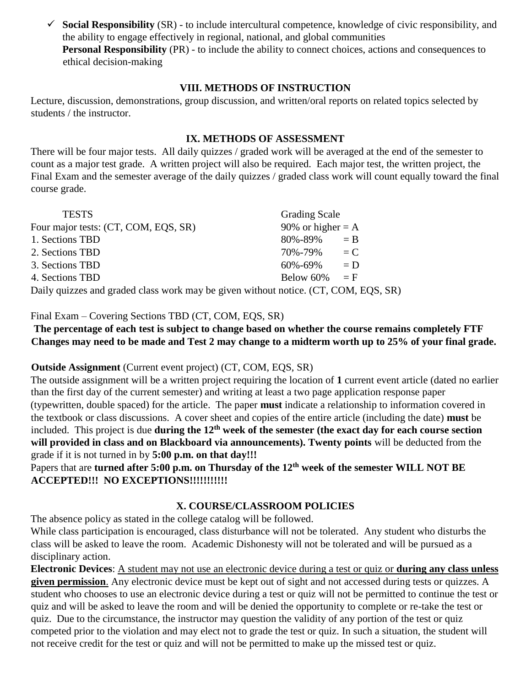$\checkmark$  Social Responsibility (SR) - to include intercultural competence, knowledge of civic responsibility, and the ability to engage effectively in regional, national, and global communities **Personal Responsibility** (PR) - to include the ability to connect choices, actions and consequences to ethical decision-making

### **VIII. METHODS OF INSTRUCTION**

Lecture, discussion, demonstrations, group discussion, and written/oral reports on related topics selected by students / the instructor.

# **IX. METHODS OF ASSESSMENT**

There will be four major tests. All daily quizzes / graded work will be averaged at the end of the semester to count as a major test grade. A written project will also be required. Each major test, the written project, the Final Exam and the semester average of the daily quizzes / graded class work will count equally toward the final course grade.

Grading Scale

|                                                                               | $rac{1}{2}$         |       |
|-------------------------------------------------------------------------------|---------------------|-------|
| Four major tests: (CT, COM, EQS, SR)                                          | 90% or higher $= A$ |       |
| 1. Sections TBD                                                               | $80\% - 89\% = B$   |       |
| 2. Sections TBD                                                               | 70%-79%             | $= C$ |
| 3. Sections TBD                                                               | 60%-69%             | $= D$ |
| 4. Sections TBD                                                               | Below 60% = $F$     |       |
| Daily quizzes and graded class work may be given without notice $(CT$ COM EOS |                     |       |

Daily quizzes and graded class work may be given without notice. (CT, COM, EQS, SR)

# Final Exam – Covering Sections TBD (CT, COM, EQS, SR)

**The percentage of each test is subject to change based on whether the course remains completely FTF Changes may need to be made and Test 2 may change to a midterm worth up to 25% of your final grade.**

# **Outside Assignment** (Current event project) (CT, COM, EQS, SR)

The outside assignment will be a written project requiring the location of **1** current event article (dated no earlier than the first day of the current semester) and writing at least a two page application response paper (typewritten, double spaced) for the article. The paper **must** indicate a relationship to information covered in the textbook or class discussions. A cover sheet and copies of the entire article (including the date) **must** be included. This project is due **during the 12th week of the semester (the exact day for each course section will provided in class and on Blackboard via announcements). Twenty points** will be deducted from the grade if it is not turned in by **5:00 p.m. on that day!!!**

Papers that are **turned after 5:00 p.m. on Thursday of the 12th week of the semester WILL NOT BE ACCEPTED!!! NO EXCEPTIONS!!!!!!!!!!!** 

# **X. COURSE/CLASSROOM POLICIES**

The absence policy as stated in the college catalog will be followed.

While class participation is encouraged, class disturbance will not be tolerated. Any student who disturbs the class will be asked to leave the room. Academic Dishonesty will not be tolerated and will be pursued as a disciplinary action.

**Electronic Devices**: A student may not use an electronic device during a test or quiz or **during any class unless given permission**. Any electronic device must be kept out of sight and not accessed during tests or quizzes. A student who chooses to use an electronic device during a test or quiz will not be permitted to continue the test or quiz and will be asked to leave the room and will be denied the opportunity to complete or re-take the test or quiz. Due to the circumstance, the instructor may question the validity of any portion of the test or quiz competed prior to the violation and may elect not to grade the test or quiz. In such a situation, the student will not receive credit for the test or quiz and will not be permitted to make up the missed test or quiz.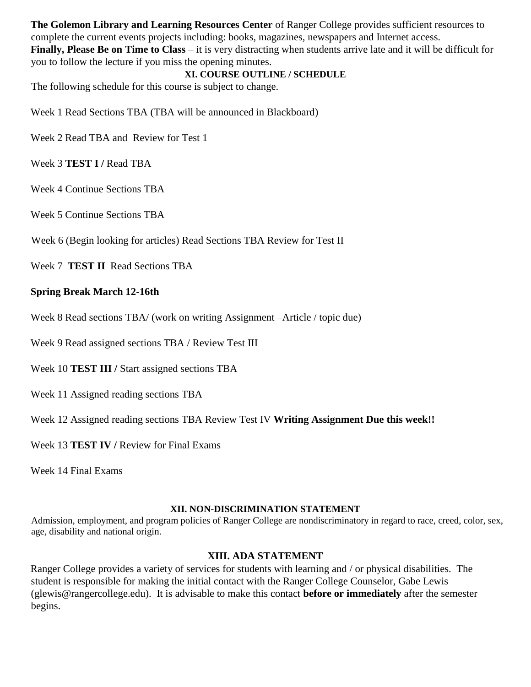**The Golemon Library and Learning Resources Center** of Ranger College provides sufficient resources to complete the current events projects including: books, magazines, newspapers and Internet access. **Finally, Please Be on Time to Class** – it is very distracting when students arrive late and it will be difficult for you to follow the lecture if you miss the opening minutes.

#### **XI. COURSE OUTLINE / SCHEDULE**

The following schedule for this course is subject to change.

Week 1 Read Sections TBA (TBA will be announced in Blackboard)

Week 2 Read TBA and Review for Test 1

Week 3 **TEST I /** Read TBA

Week 4 Continue Sections TBA

Week 5 Continue Sections TBA

Week 6 (Begin looking for articles) Read Sections TBA Review for Test II

Week 7 **TEST II** Read Sections TBA

#### **Spring Break March 12-16th**

Week 8 Read sections TBA/ (work on writing Assignment –Article / topic due)

Week 9 Read assigned sections TBA / Review Test III

Week 10 **TEST III /** Start assigned sections TBA

Week 11 Assigned reading sections TBA

Week 12 Assigned reading sections TBA Review Test IV **Writing Assignment Due this week!!** 

Week 13 **TEST IV / Review for Final Exams** 

Week 14 Final Exams

#### **XII. NON-DISCRIMINATION STATEMENT**

Admission, employment, and program policies of Ranger College are nondiscriminatory in regard to race, creed, color, sex, age, disability and national origin.

#### **XIII. ADA STATEMENT**

Ranger College provides a variety of services for students with learning and / or physical disabilities. The student is responsible for making the initial contact with the Ranger College Counselor, Gabe Lewis (glewis@rangercollege.edu). It is advisable to make this contact **before or immediately** after the semester begins.